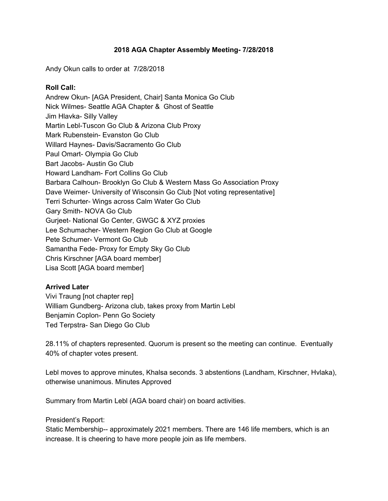### **2018 AGA Chapter Assembly Meeting- 7/28/2018**

Andy Okun calls to order at 7/28/2018

### **Roll Call:**

Andrew Okun- [AGA President, Chair] Santa Monica Go Club Nick Wilmes- Seattle AGA Chapter & Ghost of Seattle Jim Hlavka- Silly Valley Martin Lebl-Tuscon Go Club & Arizona Club Proxy Mark Rubenstein- Evanston Go Club Willard Haynes- Davis/Sacramento Go Club Paul Omart- Olympia Go Club Bart Jacobs- Austin Go Club Howard Landham- Fort Collins Go Club Barbara Calhoun- Brooklyn Go Club & Western Mass Go Association Proxy Dave Weimer- University of Wisconsin Go Club [Not voting representative] Terri Schurter- Wings across Calm Water Go Club Gary Smith- NOVA Go Club Gurjeet- National Go Center, GWGC & XYZ proxies Lee Schumacher- Western Region Go Club at Google Pete Schumer- Vermont Go Club Samantha Fede- Proxy for Empty Sky Go Club Chris Kirschner [AGA board member] Lisa Scott [AGA board member]

### **Arrived Later**

Vivi Traung [not chapter rep] William Gundberg- Arizona club, takes proxy from Martin Lebl Benjamin Coplon- Penn Go Society Ted Terpstra- San Diego Go Club

28.11% of chapters represented. Quorum is present so the meeting can continue. Eventually 40% of chapter votes present.

Lebl moves to approve minutes, Khalsa seconds. 3 abstentions (Landham, Kirschner, Hvlaka), otherwise unanimous. Minutes Approved

Summary from Martin Lebl (AGA board chair) on board activities.

### President's Report:

Static Membership-- approximately 2021 members. There are 146 life members, which is an increase. It is cheering to have more people join as life members.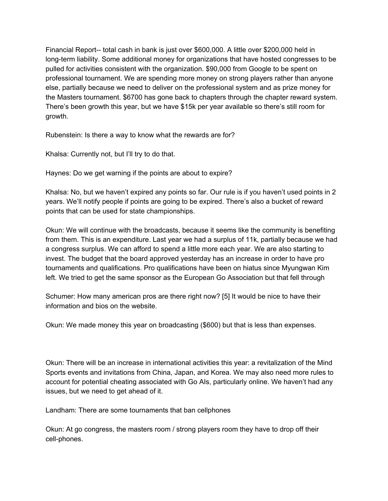Financial Report-- total cash in bank is just over \$600,000. A little over \$200,000 held in long-term liability. Some additional money for organizations that have hosted congresses to be pulled for activities consistent with the organization. \$90,000 from Google to be spent on professional tournament. We are spending more money on strong players rather than anyone else, partially because we need to deliver on the professional system and as prize money for the Masters tournament. \$6700 has gone back to chapters through the chapter reward system. There's been growth this year, but we have \$15k per year available so there's still room for growth.

Rubenstein: Is there a way to know what the rewards are for?

Khalsa: Currently not, but I'll try to do that.

Haynes: Do we get warning if the points are about to expire?

Khalsa: No, but we haven't expired any points so far. Our rule is if you haven't used points in 2 years. We'll notify people if points are going to be expired. There's also a bucket of reward points that can be used for state championships.

Okun: We will continue with the broadcasts, because it seems like the community is benefiting from them. This is an expenditure. Last year we had a surplus of 11k, partially because we had a congress surplus. We can afford to spend a little more each year. We are also starting to invest. The budget that the board approved yesterday has an increase in order to have pro tournaments and qualifications. Pro qualifications have been on hiatus since Myungwan Kim left. We tried to get the same sponsor as the European Go Association but that fell through

Schumer: How many american pros are there right now? [5] It would be nice to have their information and bios on the website.

Okun: We made money this year on broadcasting (\$600) but that is less than expenses.

Okun: There will be an increase in international activities this year: a revitalization of the Mind Sports events and invitations from China, Japan, and Korea. We may also need more rules to account for potential cheating associated with Go AIs, particularly online. We haven't had any issues, but we need to get ahead of it.

Landham: There are some tournaments that ban cellphones

Okun: At go congress, the masters room / strong players room they have to drop off their cell-phones.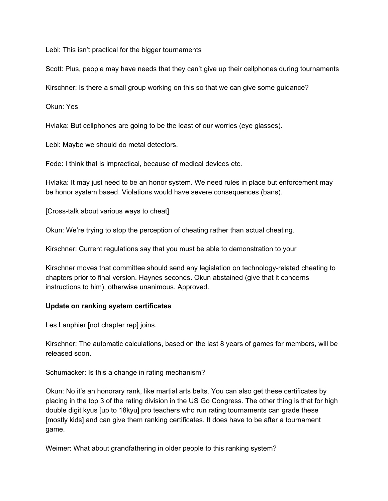Lebl: This isn't practical for the bigger tournaments

Scott: Plus, people may have needs that they can't give up their cellphones during tournaments

Kirschner: Is there a small group working on this so that we can give some guidance?

Okun: Yes

Hvlaka: But cellphones are going to be the least of our worries (eye glasses).

Lebl: Maybe we should do metal detectors.

Fede: I think that is impractical, because of medical devices etc.

Hvlaka: It may just need to be an honor system. We need rules in place but enforcement may be honor system based. Violations would have severe consequences (bans).

[Cross-talk about various ways to cheat]

Okun: We're trying to stop the perception of cheating rather than actual cheating.

Kirschner: Current regulations say that you must be able to demonstration to your

Kirschner moves that committee should send any legislation on technology-related cheating to chapters prior to final version. Haynes seconds. Okun abstained (give that it concerns instructions to him), otherwise unanimous. Approved.

### **Update on ranking system certificates**

Les Lanphier [not chapter rep] joins.

Kirschner: The automatic calculations, based on the last 8 years of games for members, will be released soon.

Schumacker: Is this a change in rating mechanism?

Okun: No it's an honorary rank, like martial arts belts. You can also get these certificates by placing in the top 3 of the rating division in the US Go Congress. The other thing is that for high double digit kyus [up to 18kyu] pro teachers who run rating tournaments can grade these [mostly kids] and can give them ranking certificates. It does have to be after a tournament game.

Weimer: What about grandfathering in older people to this ranking system?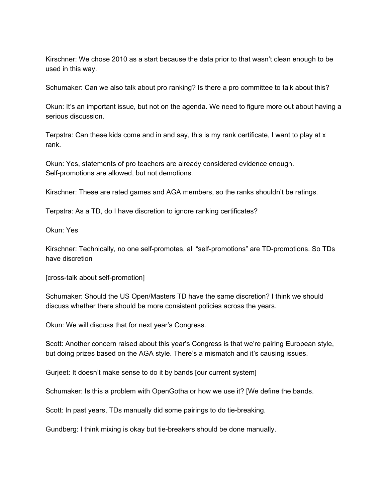Kirschner: We chose 2010 as a start because the data prior to that wasn't clean enough to be used in this way.

Schumaker: Can we also talk about pro ranking? Is there a pro committee to talk about this?

Okun: It's an important issue, but not on the agenda. We need to figure more out about having a serious discussion.

Terpstra: Can these kids come and in and say, this is my rank certificate, I want to play at x rank.

Okun: Yes, statements of pro teachers are already considered evidence enough. Self-promotions are allowed, but not demotions.

Kirschner: These are rated games and AGA members, so the ranks shouldn't be ratings.

Terpstra: As a TD, do I have discretion to ignore ranking certificates?

Okun: Yes

Kirschner: Technically, no one self-promotes, all "self-promotions" are TD-promotions. So TDs have discretion

[cross-talk about self-promotion]

Schumaker: Should the US Open/Masters TD have the same discretion? I think we should discuss whether there should be more consistent policies across the years.

Okun: We will discuss that for next year's Congress.

Scott: Another concern raised about this year's Congress is that we're pairing European style, but doing prizes based on the AGA style. There's a mismatch and it's causing issues.

Gurjeet: It doesn't make sense to do it by bands [our current system]

Schumaker: Is this a problem with OpenGotha or how we use it? [We define the bands.

Scott: In past years, TDs manually did some pairings to do tie-breaking.

Gundberg: I think mixing is okay but tie-breakers should be done manually.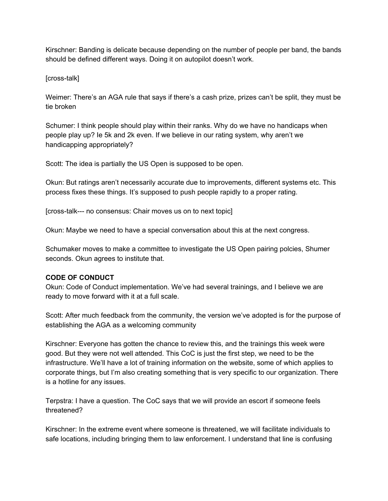Kirschner: Banding is delicate because depending on the number of people per band, the bands should be defined different ways. Doing it on autopilot doesn't work.

## [cross-talk]

Weimer: There's an AGA rule that says if there's a cash prize, prizes can't be split, they must be tie broken

Schumer: I think people should play within their ranks. Why do we have no handicaps when people play up? Ie 5k and 2k even. If we believe in our rating system, why aren't we handicapping appropriately?

Scott: The idea is partially the US Open is supposed to be open.

Okun: But ratings aren't necessarily accurate due to improvements, different systems etc. This process fixes these things. It's supposed to push people rapidly to a proper rating.

[cross-talk--- no consensus: Chair moves us on to next topic]

Okun: Maybe we need to have a special conversation about this at the next congress.

Schumaker moves to make a committee to investigate the US Open pairing polcies, Shumer seconds. Okun agrees to institute that.

# **CODE OF CONDUCT**

Okun: Code of Conduct implementation. We've had several trainings, and I believe we are ready to move forward with it at a full scale.

Scott: After much feedback from the community, the version we've adopted is for the purpose of establishing the AGA as a welcoming community

Kirschner: Everyone has gotten the chance to review this, and the trainings this week were good. But they were not well attended. This CoC is just the first step, we need to be the infrastructure. We'll have a lot of training information on the website, some of which applies to corporate things, but I'm also creating something that is very specific to our organization. There is a hotline for any issues.

Terpstra: I have a question. The CoC says that we will provide an escort if someone feels threatened?

Kirschner: In the extreme event where someone is threatened, we will facilitate individuals to safe locations, including bringing them to law enforcement. I understand that line is confusing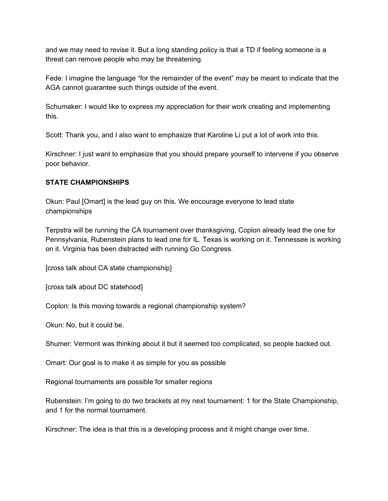and we may need to revise it. But a long standing policy is that a TD if feeling someone is a threat can remove people who may be threatening.

Fede: I imagine the language "for the remainder of the event" may be meant to indicate that the AGA cannot guarantee such things outside of the event.

Schumaker: I would like to express my appreciation for their work creating and implementing this.

Scott: Thank you, and I also want to emphasize that Karoline Li put a lot of work into this.

Kirschner: I just want to emphasize that you should prepare yourself to intervene if you observe poor behavior.

## **STATE CHAMPIONSHIPS**

Okun: Paul [Omart] is the lead guy on this. We encourage everyone to lead state championships

Terpstra will be running the CA tournament over thanksgiving, Coplon already lead the one for Pennsylvania, Rubenstein plans to lead one for IL. Texas is working on it. Tennessee is working on it. Virginia has been distracted with running Go Congress.

[cross talk about CA state championship]

[cross talk about DC statehood]

Coplon: Is this moving towards a regional championship system?

Okun: No, but it could be.

Shumer: Vermont was thinking about it but it seemed too complicated, so people backed out.

Omart: Our goal is to make it as simple for you as possible

Regional tournaments are possible for smaller regions

Rubenstein: I'm going to do two brackets at my next tournament: 1 for the State Championship, and 1 for the normal tournament.

Kirschner: The idea is that this is a developing process and it might change over time.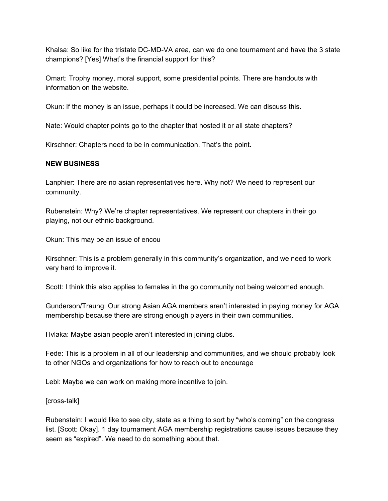Khalsa: So like for the tristate DC-MD-VA area, can we do one tournament and have the 3 state champions? [Yes] What's the financial support for this?

Omart: Trophy money, moral support, some presidential points. There are handouts with information on the website.

Okun: If the money is an issue, perhaps it could be increased. We can discuss this.

Nate: Would chapter points go to the chapter that hosted it or all state chapters?

Kirschner: Chapters need to be in communication. That's the point.

## **NEW BUSINESS**

Lanphier: There are no asian representatives here. Why not? We need to represent our community.

Rubenstein: Why? We're chapter representatives. We represent our chapters in their go playing, not our ethnic background.

Okun: This may be an issue of encou

Kirschner: This is a problem generally in this community's organization, and we need to work very hard to improve it.

Scott: I think this also applies to females in the go community not being welcomed enough.

Gunderson/Traung: Our strong Asian AGA members aren't interested in paying money for AGA membership because there are strong enough players in their own communities.

Hvlaka: Maybe asian people aren't interested in joining clubs.

Fede: This is a problem in all of our leadership and communities, and we should probably look to other NGOs and organizations for how to reach out to encourage

Lebl: Maybe we can work on making more incentive to join.

[cross-talk]

Rubenstein: I would like to see city, state as a thing to sort by "who's coming" on the congress list. [Scott: Okay]. 1 day tournament AGA membership registrations cause issues because they seem as "expired". We need to do something about that.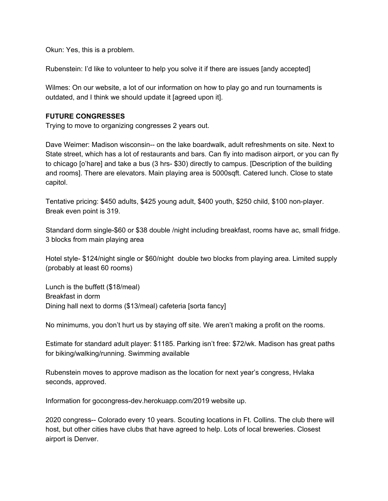Okun: Yes, this is a problem.

Rubenstein: I'd like to volunteer to help you solve it if there are issues [andy accepted]

Wilmes: On our website, a lot of our information on how to play go and run tournaments is outdated, and I think we should update it [agreed upon it].

#### **FUTURE CONGRESSES**

Trying to move to organizing congresses 2 years out.

Dave Weimer: Madison wisconsin-- on the lake boardwalk, adult refreshments on site. Next to State street, which has a lot of restaurants and bars. Can fly into madison airport, or you can fly to chicago [o'hare] and take a bus (3 hrs- \$30) directly to campus. [Description of the building and rooms]. There are elevators. Main playing area is 5000sqft. Catered lunch. Close to state capitol.

Tentative pricing: \$450 adults, \$425 young adult, \$400 youth, \$250 child, \$100 non-player. Break even point is 319.

Standard dorm single-\$60 or \$38 double /night including breakfast, rooms have ac, small fridge. 3 blocks from main playing area

Hotel style- \$124/night single or \$60/night double two blocks from playing area. Limited supply (probably at least 60 rooms)

Lunch is the buffett (\$18/meal) Breakfast in dorm Dining hall next to dorms (\$13/meal) cafeteria [sorta fancy]

No minimums, you don't hurt us by staying off site. We aren't making a profit on the rooms.

Estimate for standard adult player: \$1185. Parking isn't free: \$72/wk. Madison has great paths for biking/walking/running. Swimming available

Rubenstein moves to approve madison as the location for next year's congress, Hvlaka seconds, approved.

Information for gocongress-dev.herokuapp.com/2019 website up.

2020 congress-- Colorado every 10 years. Scouting locations in Ft. Collins. The club there will host, but other cities have clubs that have agreed to help. Lots of local breweries. Closest airport is Denver.